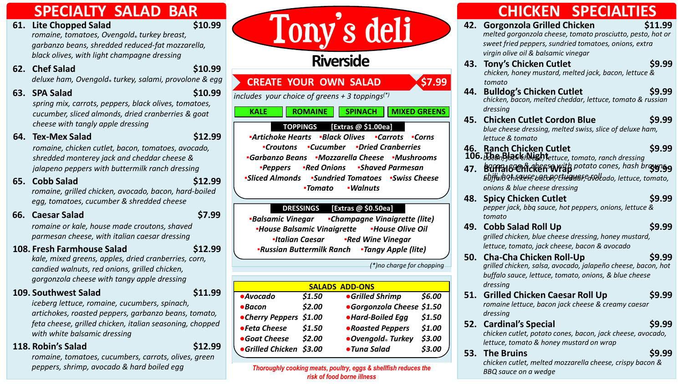- *romaine, tomatoes, Ovengold*® *turkey breast, garbanzo beans, shredded reduced-fat mozzarella, black olives, with light champagne dressing* **61.** Lite Chopped Salad
- **62. Chef Salad \$10.99** *deluxe ham, Ovengold*® *turkey, salami, provolone & egg*
- **63. SPA Salad \$10.99** *spring mix, carrots, peppers, black olives, tomatoes, cucumber, sliced almonds, dried cranberries & goat*
- **64. Tex-Mex Salad \$12.99** *cheese with tangly apple dressing*

*romaine, chicken cutlet, bacon, tomatoes, avocado, shredded monterey jack and cheddar cheese & jalapeno peppers with buttermilk ranch dressing*

**65. Cobb Salad \$12.99** *romaine, grilled chicken, avocado, bacon, hard-boiled egg, tomatoes, cucumber & shredded cheese*

**66. Caesar Salad \$7.99**

*romaine or kale, house made croutons, shaved parmesan cheese, with italian caesar dressing*

#### **108. Fresh Farmhouse Salad \$12.99**

*kale, mixed greens, apples, dried cranberries, corn, candied walnuts, red onions, grilled chicken, gorgonzola cheese with tangy apple dressing* 

### **109. Southwest Salad \$11.99**

*iceberg lettuce, romaine, cucumbers, spinach, artichokes, roasted peppers, garbanzo beans, tomato, feta cheese, grilled chicken, italian seasoning, chopped with white balsamic dressing*

#### **118. Robin's Salad \$12.99**

*romaine, tomatoes, cucumbers, carrots, olives, green peppers, shrimp, avocado & hard boiled egg*

# SPECIALTY SALAD BAR<br>Lite Chopped Salad \$10.99<br>romaine, tomatoes, Ovengold, turkey breast,<br>corborzo beans, shredded reduced-fot mozzcrello

## **Riverside**

#### **CREATE YOUR OWN SALAD <b>\$7.99**

*includes your choice of greens + 3 toppings(\*)*

#### **KALE ROMAINE SPINACH MIXED GREENS**

#### **TOPPINGS [Extras @ \$1.00ea]**

**▪***Artichoke Hearts* **▪***Black Olives* **▪***Carrots* **▪***Corns* **▪***Croutons* **▪***Cucumber* **▪***Dried Cranberries* **▪***Garbanzo Beans* **▪***Mozzarella Cheese* **▪***Mushrooms* **▪***Peppers* **▪***Red Onions* **▪***Shaved Parmesan* **▪***Sliced Almonds* **▪***Sundried Tomatoes* **▪***Swiss Cheese* **▪***Tomato* **▪***Walnuts*

#### **DRESSINGS [Extras @ \$0.50ea]**

**▪***Balsamic Vinegar* **▪***Champagne Vinaigrette (lite)* **▪***House Balsamic Vinaigrette* **▪***House Olive Oil* **▪***Italian Caesar* **▪***Red Wine Vinegar* **▪***Russian Buttermilk Ranch* **▪***Tangy Apple (lite)*

*(\*)no charge for chopping*

**SALADS ADD-ONS** *●Avocado \$1.50 ●Grilled Shrimp \$6.00 ●Bacon \$2.00 ●Gorgonzola Cheese \$1.50 ●Cherry Peppers \$1.00 ●Hard-Boiled Egg \$1.50 ●Feta Cheese \$1.50 ●Roasted Peppers \$1.00 ●Goat Cheese \$2.00 ●Ovengold*® *Turkey \$3.00 ●Grilled Chicken \$3.00 ●Tuna Salad \$3.00*

*Thoroughly cooking meats, poultry, eggs & shellfish reduces the risk of food borne illness* 

## **CHICKEN SPECIALTIES**

- **42. Gorgonzola Grilled Chicken \$11.99** *melted gorgonzola cheese, tomato prosciutto, pesto, hot or sweet fried peppers, sundried tomatoes, onions, extra virgin olive oil & balsamic vinegar*
- **43. Tony's Chicken Cutlet \$9.99** *chicken, honey mustard, melted jack, bacon, lettuce & tomato*
- **44. Bulldog's Chicken Cutlet \$9.99** *chicken, bacon, melted cheddar, lettuce, tomato & russian dressing*
- **45. Chicken Cutlet Cordon Blue \$9.99** *blue cheese dressing, melted swiss, slice of deluxe ham, lettuce & tomato*
- **46. Ranch Chicken Cutlet \$9.99** *bacon, jack cheese, lettuce, tomato, ranch dressing*
- **47. Buffalo Chicken Wrap** *bacon, jack cheese, lettuce, tomato, ranch dressing* **\$9.99**
- **48. Spicy Chicken Cutlet \$9.99** *pepper jack, bbq sauce, hot peppers, onions, lettuce & tomato*
- **49. Cobb Salad Roll Up \$9.99** *grilled chicken, blue cheese dressing, honey mustard, lettuce, tomato, jack cheese, bacon & avocado*
- **50. Cha-Cha Chicken Roll-Up \$9.99** *grilled chicken, salsa, avocado, jalapeño cheese, bacon, hot buffalo sauce, lettuce, tomato, onions, & blue cheese dressing*
- **51. Grilled Chicken Caesar Roll Up \$9.99** *romaine lettuce, bacon jack cheese & creamy caesar dressing*
- **52. Cardinal's Special \$9.99** *chicken cutlet, potato cones, bacon, jack cheese, avocado, lettuce, tomato & honey mustard on wrap*

#### **53. The Bruins \$9.99** *chicken cutlet, melted mozzarella cheese, crispy bacon &*

*BBQ sauce on a wedge*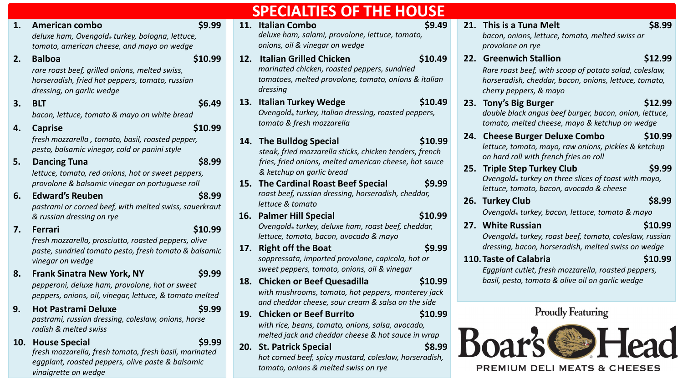|    |                                                                                                                                                                    |            | <b>SPECIALTIES OF THE HOUSE</b>                                                                                                                                                           |                                                                                                                                                                                     |
|----|--------------------------------------------------------------------------------------------------------------------------------------------------------------------|------------|-------------------------------------------------------------------------------------------------------------------------------------------------------------------------------------------|-------------------------------------------------------------------------------------------------------------------------------------------------------------------------------------|
| 1. | \$9.99<br><b>American combo</b><br>deluxe ham, Ovengold® turkey, bologna, lettuce,<br>tomato, american cheese, and mayo on wedge                                   |            | 11. Italian Combo<br>\$9.49<br>deluxe ham, salami, provolone, lettuce, tomato,<br>onions, oil & vinegar on wedge                                                                          | 21. This is a Tuna Melt<br>\$8.99<br>bacon, onions, lettuce, tomato, melted swiss or<br>provolone on rye                                                                            |
| 2. | <b>Balboa</b><br>\$10.99<br>rare roast beef, grilled onions, melted swiss,<br>horseradish, fried hot peppers, tomato, russian<br>dressing, on garlic wedge         |            | 12. Italian Grilled Chicken<br>\$10.49<br>marinated chicken, roasted peppers, sundried<br>tomatoes, melted provolone, tomato, onions & italian<br>dressing                                | 22. Greenwich Stallion<br>\$12.99<br>Rare roast beef, with scoop of potato salad, coleslaw,<br>horseradish, cheddar, bacon, onions, lettuce, tomato,<br>cherry peppers, & mayo      |
| 3. | \$6.49<br><b>BLT</b><br>bacon, lettuce, tomato & mayo on white bread                                                                                               |            | 13. Italian Turkey Wedge<br>\$10.49<br>Ovengold® turkey, italian dressing, roasted peppers,<br>tomato & fresh mozzarella                                                                  | 23. Tony's Big Burger<br>\$12.99<br>double black angus beef burger, bacon, onion, lettuce,<br>tomato, melted cheese, mayo & ketchup on wedge                                        |
| 4. | \$10.99<br><b>Caprise</b><br>fresh mozzarella, tomato, basil, roasted pepper,<br>pesto, balsamic vinegar, cold or panini style                                     |            | 14. The Bulldog Special<br>\$10.99<br>steak, fried mozzarella sticks, chicken tenders, french                                                                                             | 24. Cheese Burger Deluxe Combo<br>\$10.99<br>lettuce, tomato, mayo, raw onions, pickles & ketchup<br>on hard roll with french fries on roll                                         |
| 5. | \$8.99<br><b>Dancing Tuna</b><br>lettuce, tomato, red onions, hot or sweet peppers,<br>provolone & balsamic vinegar on portuguese roll                             |            | fries, fried onions, melted american cheese, hot sauce<br>& ketchup on garlic bread<br>15. The Cardinal Roast Beef Special<br>\$9.99                                                      | 25. Triple Step Turkey Club<br>\$9.99<br>Ovengold turkey on three slices of toast with mayo,<br>lettuce, tomato, bacon, avocado & cheese                                            |
| 6. | <b>Edward's Reuben</b><br>\$8.99<br>pastrami or corned beef, with melted swiss, sauerkraut<br>& russian dressing on rye                                            |            | roast beef, russian dressing, horseradish, cheddar,<br>lettuce & tomato<br>\$10.99<br>16. Palmer Hill Special                                                                             | 26. Turkey Club<br>\$8.99<br>Ovengold turkey, bacon, lettuce, tomato & mayo                                                                                                         |
| 7. | \$10.99<br><b>Ferrari</b><br>fresh mozzarella, prosciutto, roasted peppers, olive<br>paste, sundried tomato pesto, fresh tomato & balsamic<br>vinegar on wedge     | 17.        | Ovengold turkey, deluxe ham, roast beef, cheddar,<br>lettuce, tomato, bacon, avocado & mayo<br><b>Right off the Boat</b><br>\$9.99<br>soppressata, imported provolone, capicola, hot or   | 27. White Russian<br>\$10.99<br>Ovengold® turkey, roast beef, tomato, coleslaw, russian<br>dressing, bacon, horseradish, melted swiss on wedge<br>110. Taste of Calabria<br>\$10.99 |
| 8. | \$9.99<br><b>Frank Sinatra New York, NY</b><br>pepperoni, deluxe ham, provolone, hot or sweet<br>peppers, onions, oil, vinegar, lettuce, & tomato melted           |            | sweet peppers, tomato, onions, oil & vinegar<br>18. Chicken or Beef Quesadilla<br>\$10.99<br>with mushrooms, tomato, hot peppers, monterey jack                                           | Eggplant cutlet, fresh mozzarella, roasted peppers,<br>basil, pesto, tomato & olive oil on garlic wedge                                                                             |
| 9. | <b>Hot Pastrami Deluxe</b><br>\$9.99<br>pastrami, russian dressing, coleslaw, onions, horse<br>radish & melted swiss                                               | <b>19.</b> | and cheddar cheese, sour cream & salsa on the side<br><b>Chicken or Beef Burrito</b><br>\$10.99<br>with rice, beans, tomato, onions, salsa, avocado,                                      | <b>Proudly Featuring</b>                                                                                                                                                            |
|    | 10. House Special<br>\$9.99<br>fresh mozzarella, fresh tomato, fresh basil, marinated<br>eggplant, roasted peppers, olive paste & balsamic<br>vinaigrette on wedge |            | melted jack and cheddar cheese & hot sauce in wrap<br>\$8.99<br>20. St. Patrick Special<br>hot corned beef, spicy mustard, coleslaw, horseradish,<br>tomato, onions & melted swiss on rye | <b>PREMIUM DELI MEATS &amp; CHEESES</b>                                                                                                                                             |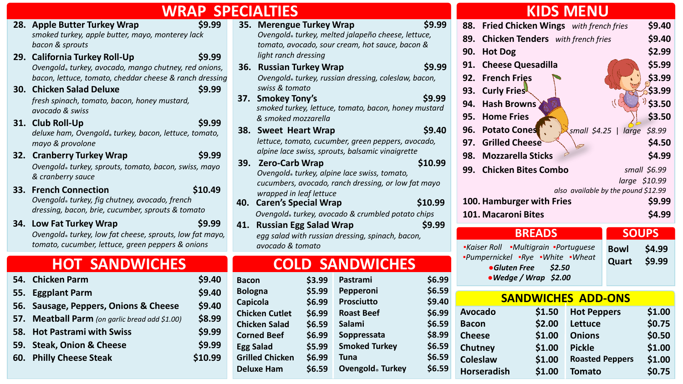| <b>WRAP SPECIALTIES</b>                                                                                                                                                                                                                                                                                                                                                                                                                                                                                                                                                                                                                                                                                                                                                     |                                                                                                                                                                                                                                                                                                                                                                                                                                                                                                                                                                                                                                                                                                                                                                                                                                       | <b>KIDS MENU</b>                                                                                                                                                                                                                                                                                                                                                                                                                                                                                                                                                                                                                                                                          |
|-----------------------------------------------------------------------------------------------------------------------------------------------------------------------------------------------------------------------------------------------------------------------------------------------------------------------------------------------------------------------------------------------------------------------------------------------------------------------------------------------------------------------------------------------------------------------------------------------------------------------------------------------------------------------------------------------------------------------------------------------------------------------------|---------------------------------------------------------------------------------------------------------------------------------------------------------------------------------------------------------------------------------------------------------------------------------------------------------------------------------------------------------------------------------------------------------------------------------------------------------------------------------------------------------------------------------------------------------------------------------------------------------------------------------------------------------------------------------------------------------------------------------------------------------------------------------------------------------------------------------------|-------------------------------------------------------------------------------------------------------------------------------------------------------------------------------------------------------------------------------------------------------------------------------------------------------------------------------------------------------------------------------------------------------------------------------------------------------------------------------------------------------------------------------------------------------------------------------------------------------------------------------------------------------------------------------------------|
| \$9.99<br>28. Apple Butter Turkey Wrap<br>smoked turkey, apple butter, mayo, monterey lack<br>bacon & sprouts<br>29. California Turkey Roll-Up<br>\$9.99<br>Ovengold <sub>®</sub> turkey, avocado, mango chutney, red onions,<br>bacon, lettuce, tomato, cheddar cheese & ranch dressing<br>30. Chicken Salad Deluxe<br>\$9.99<br>fresh spinach, tomato, bacon, honey mustard,<br>avocado & swiss<br>\$9.99<br>31. Club Roll-Up<br>deluxe ham, Ovengold® turkey, bacon, lettuce, tomato,<br>mayo & provolone<br>32. Cranberry Turkey Wrap<br>\$9.99<br>Ovengold turkey, sprouts, tomato, bacon, swiss, mayo<br>& cranberry sauce<br>33. French Connection<br>\$10.49<br>Ovengold® turkey, fig chutney, avocado, french<br>dressing, bacon, brie, cucumber, sprouts & tomato | \$9.99<br>35. Merengue Turkey Wrap<br>Ovengold <sub>®</sub> turkey, melted jalapeño cheese, lettuce,<br>tomato, avocado, sour cream, hot sauce, bacon &<br>light ranch dressing<br>\$9.99<br>36. Russian Turkey Wrap<br>Ovengold turkey, russian dressing, coleslaw, bacon,<br>swiss & tomato<br>\$9.99<br>37. Smokey Tony's<br>smoked turkey, lettuce, tomato, bacon, honey mustard<br>& smoked mozzarella<br>38. Sweet Heart Wrap<br>\$9.40<br>lettuce, tomato, cucumber, green peppers, avocado,<br>alpine lace swiss, sprouts, balsamic vinaigrette<br>\$10.99<br><b>Zero-Carb Wrap</b><br><b>39.</b><br>Ovengold turkey, alpine lace swiss, tomato,<br>cucumbers, avocado, ranch dressing, or low fat mayo<br>wrapped in leaf lettuce<br>40. Caren's Special Wrap<br>\$10.99<br>Ovengold turkey, avocado & crumbled potato chips | \$9.40<br>88. Fried Chicken Wings with french fries<br>\$9.40<br><b>Chicken Tenders</b> with french fries<br>89.<br>\$2.99<br><b>Hot Dog</b><br>90.<br>\$5.99<br><b>Cheese Quesadilla</b><br>91.<br>\$3.99<br><b>French Fries</b><br>92.<br>\$3.99<br><b>Curly Friest</b><br>93.<br>\$3.50<br><b>Hash Browns</b><br>94.<br>\$3.50<br>95. Home Fries<br>96. Potato Cones<br>small $$4.25$   large<br>\$8.99<br><b>Grilled Cheese</b><br>\$4.50<br>97.<br>\$4.99<br><b>Mozzarella Sticks</b><br>98.<br><b>Chicken Bites Combo</b><br>99.<br>small \$6.99<br>\$10.99<br>large<br>also available by the pound \$12.99<br>\$9.99<br>100. Hamburger with Fries<br>\$4.99<br>101. Macaroni Bites |
| \$9.99<br>34. Low Fat Turkey Wrap<br>Ovengold turkey, low fat cheese, sprouts, low fat mayo,<br>tomato, cucumber, lettuce, green peppers & onions<br><b>HOT SANDWICHES</b>                                                                                                                                                                                                                                                                                                                                                                                                                                                                                                                                                                                                  | 41. Russian Egg Salad Wrap<br>\$9.99<br>eqq salad with russian dressing, spinach, bacon,<br>avocado & tomato<br><b>COLD SANDWICHES</b>                                                                                                                                                                                                                                                                                                                                                                                                                                                                                                                                                                                                                                                                                                | <b>BREADS</b><br><b>SOUPS</b><br>-Kaiser Roll -Multigrain -Portuguese<br>\$4.99<br><b>Bowl</b><br>-Pumpernickel -Rye -White -Wheat<br>\$9.99<br>Quart<br>•Gluten Free<br>\$2.50                                                                                                                                                                                                                                                                                                                                                                                                                                                                                                           |
| <b>Chicken Parm</b><br>\$9.40<br>54.<br>\$9.40<br><b>Eggplant Parm</b><br>55.<br>\$9.40<br>Sausage, Peppers, Onions & Cheese<br>56.<br>\$8.99<br>Meatball Parm (on garlic bread add \$1.00)<br>57.<br>\$9.99<br><b>Hot Pastrami with Swiss</b><br>58.<br>\$9.99<br>59. Steak, Onion & Cheese                                                                                                                                                                                                                                                                                                                                                                                                                                                                                | \$6.99<br>\$3.99<br>Pastrami<br><b>Bacon</b><br>\$5.99<br>\$6.59<br><b>Bologna</b><br>Pepperoni<br>\$9.40<br>Prosciutto<br>\$6.99<br>Capicola<br>\$6.99<br>\$6.99<br><b>Roast Beef</b><br><b>Chicken Cutlet</b><br>\$6.59<br><b>Chicken Salad</b><br>\$6.59<br>Salami<br>\$8.99<br><b>Corned Beef</b><br>\$6.99<br>Soppressata<br>\$5.99<br><b>Smoked Turkey</b><br>\$6.59<br><b>Egg Salad</b>                                                                                                                                                                                                                                                                                                                                                                                                                                        | $\bullet$ Wedge / Wrap \$2.00<br><b>SANDWICHES ADD-ONS</b><br>\$1.00<br>\$1.50<br><b>Hot Peppers</b><br>Avocado<br>\$0.75<br>\$2.00<br>Lettuce<br><b>Bacon</b><br>\$0.50<br><b>Cheese</b><br><b>Onions</b><br>\$1.00<br>\$1.00<br><b>Pickle</b><br>Chutney<br>\$1.00                                                                                                                                                                                                                                                                                                                                                                                                                      |

**88. Fried Chicken Wings** *with french fries* **\$9.40 89. Chicken Tenders** *with french fries* **\$9.40**

**90. Hot Dog \$2.99 91. Cheese Quesadilla \$5.99 92. French Fries \$3.99 93. Curly Fries \$3.99 94. Hash Browns \$3.50**

**95. Home Fries \$3.50**

**100. Hamburger with Fries \$9.99 101. Macaroni Bites \$4.99**

**Bowl \$4.99 Quart \$9.99**

**Hot Peppers \$1.00 Lettuce \$0.75 Onions \$0.50 Pickle \$1.00**

**Roasted Peppers \$1.00 Tomato \$0.75**

**96. Potato Cones** *small \$4.25* | *large \$8.99* **97. Grilled Cheese \$4.50 98. Mozzarella Sticks \$4.99**

**60. Philly Cheese Steak \$10.99**

#### **Grilled Chicken \$6.99 Deluxe Ham \$6.59 Tuna \$6.59 Ovengold**® **Turkey \$6.59**

**Coleslaw \$1.00 Horseradish \$1.00**